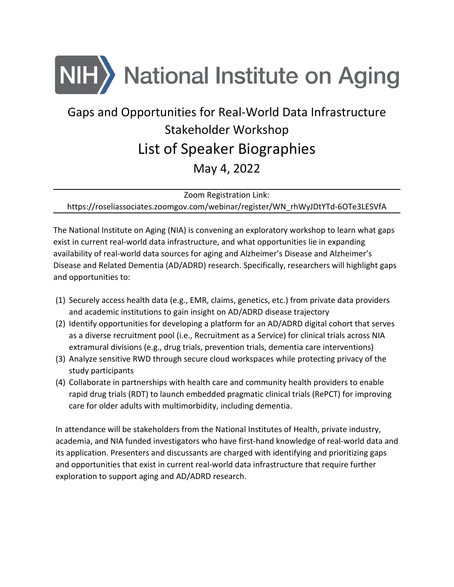

# Gaps and Opportunities for Real-World Data Infrastructure Stakeholder Workshop List of Speaker Biographies May 4, 2022

Zoom Registration Link:

https://roseliassociates.zoomgov.com/webinar/register/WN\_rhWyJDtYTd-6OTe3LESVfA

The National Institute on Aging (NIA) is convening an exploratory workshop to learn what gaps exist in current real-world data infrastructure, and what opportunities lie in expanding availability of real-world data sources for aging and Alzheimer's Disease and Alzheimer's Disease and Related Dementia (AD/ADRD) research. Specifically, researchers will highlight gaps and opportunities to:

- (1) Securely access health data (e.g., EMR, claims, genetics, etc.) from private data providers and academic institutions to gain insight on AD/ADRD disease trajectory
- (2) Identify opportunities for developing a platform for an AD/ADRD digital cohort that serves as a diverse recruitment pool (i.e., Recruitment as a Service) for clinical trials across NIA extramural divisions (e.g., drug trials, prevention trials, dementia care interventions)
- (3) Analyze sensitive RWD through secure cloud workspaces while protecting privacy of the study participants
- (4) Collaborate in partnerships with health care and community health providers to enable rapid drug trials (RDT) to launch embedded pragmatic clinical trials (RePCT) for improving care for older adults with multimorbidity, including dementia.

In attendance will be stakeholders from the National Institutes of Health, private industry, academia, and NIA funded investigators who have first-hand knowledge of real-world data and its application. Presenters and discussants are charged with identifying and prioritizing gaps and opportunities that exist in current real-world data infrastructure that require further exploration to support aging and AD/ADRD research.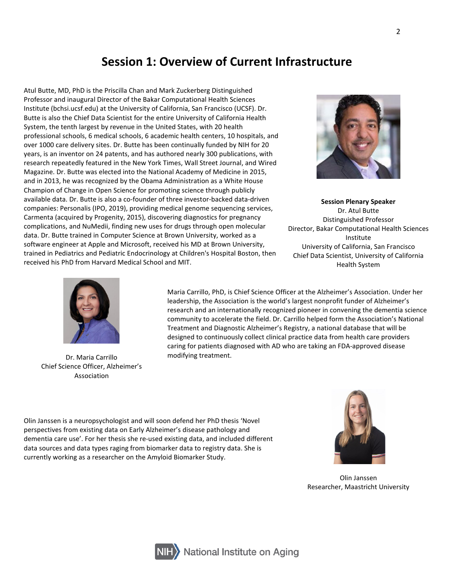#### **Session 1: Overview of Current Infrastructure**

Atul Butte, MD, PhD is the Priscilla Chan and Mark Zuckerberg Distinguished Professor and inaugural Director of the Bakar Computational Health Sciences Institute (bchsi.ucsf.edu) at the University of California, San Francisco (UCSF). Dr. Butte is also the Chief Data Scientist for the entire University of California Health System, the tenth largest by revenue in the United States, with 20 health professional schools, 6 medical schools, 6 academic health centers, 10 hospitals, and over 1000 care delivery sites. Dr. Butte has been continually funded by NIH for 20 years, is an inventor on 24 patents, and has authored nearly 300 publications, with research repeatedly featured in the New York Times, Wall Street Journal, and Wired Magazine. Dr. Butte was elected into the National Academy of Medicine in 2015, and in 2013, he was recognized by the Obama Administration as a White House Champion of Change in Open Science for promoting science through publicly available data. Dr. Butte is also a co-founder of three investor-backed data-driven companies: Personalis (IPO, 2019), providing medical genome sequencing services, Carmenta (acquired by Progenity, 2015), discovering diagnostics for pregnancy complications, and NuMedii, finding new uses for drugs through open molecular data. Dr. Butte trained in Computer Science at Brown University, worked as a software engineer at Apple and Microsoft, received his MD at Brown University, trained in Pediatrics and Pediatric Endocrinology at Children's Hospital Boston, then received his PhD from Harvard Medical School and MIT.



**Session Plenary Speaker** Dr. Atul Butte Distinguished Professor Director, Bakar Computational Health Sciences Institute University of California, San Francisco Chief Data Scientist, University of California Health System



Chief Science Officer, Alzheimer's Association

Maria Carrillo, PhD, is Chief Science Officer at the Alzheimer's Association. Under her leadership, the Association is the world's largest nonprofit funder of Alzheimer's research and an internationally recognized pioneer in convening the dementia science community to accelerate the field. Dr. Carrillo helped form the Association's National Treatment and Diagnostic Alzheimer's Registry, a national database that will be designed to continuously collect clinical practice data from health care providers caring for patients diagnosed with AD who are taking an FDA-approved disease Dr. Maria Carrillo **modifying treatment**.

Olin Janssen is a neuropsychologist and will soon defend her PhD thesis 'Novel perspectives from existing data on Early Alzheimer's disease pathology and dementia care use'. For her thesis she re-used existing data, and included different data sources and data types raging from biomarker data to registry data. She is currently working as a researcher on the Amyloid Biomarker Study.



Olin Janssen Researcher, Maastricht University

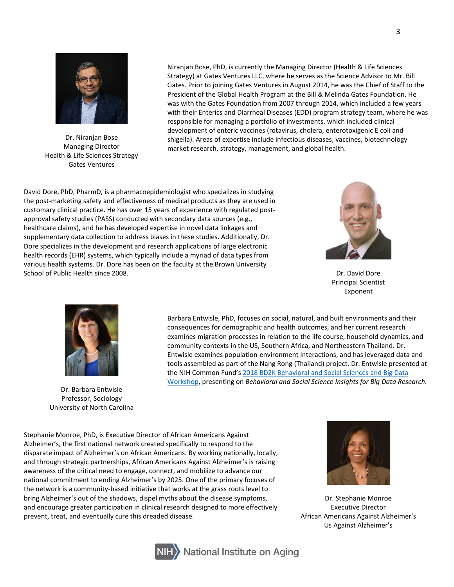

Dr. Niranjan Bose Managing Director Health & Life Sciences Strategy Gates Ventures

Niranjan Bose, PhD, is currently the Managing Director (Health & Life Sciences Strategy) at Gates Ventures LLC, where he serves as the Science Advisor to Mr. Bill Gates. Prior to joining Gates Ventures in August 2014, he was the Chief of Staff to the President of the Global Health Program at the Bill & Melinda Gates Foundation. He was with the Gates Foundation from 2007 through 2014, which included a few years with their Enterics and Diarrheal Diseases (EDD) program strategy team, where he was responsible for managing a portfolio of investments, which included clinical development of enteric vaccines (rotavirus, cholera, enterotoxigenic E coli and shigella). Areas of expertise include infectious diseases, vaccines, biotechnology market research, strategy, management, and global health.

David Dore, PhD, PharmD, is a pharmacoepidemiologist who specializes in studying the post-marketing safety and effectiveness of medical products as they are used in customary clinical practice. He has over 15 years of experience with regulated postapproval safety studies (PASS) conducted with secondary data sources (e.g., healthcare claims), and he has developed expertise in novel data linkages and supplementary data collection to address biases in these studies. Additionally, Dr. Dore specializes in the development and research applications of large electronic health records (EHR) systems, which typically include a myriad of data types from various health systems. Dr. Dore has been on the faculty at the Brown University School of Public Health since 2008. Dr. David Dore New York 2008. Dr. David Dore New York 2009.



Principal Scientist Exponent



Dr. Barbara Entwisle Professor, Sociology University of North Carolina

Barbara Entwisle, PhD, focuses on social, natural, and built environments and their consequences for demographic and health outcomes, and her current research examines migration processes in relation to the life course, household dynamics, and community contexts in the US, Southern Africa, and Northeastern Thailand. Dr. Entwisle examines population-environment interactions, and has leveraged data and tools assembled as part of the Nang Rong (Thailand) project. Dr. Entwisle presented at the NIH Common Fund'[s 2018 BD2K Behavioral and Social Sciences and Big Data](https://commonfund.nih.gov/bssbigdata)  [Workshop,](https://commonfund.nih.gov/bssbigdata) presenting on *Behavioral and Social Science Insights for Big Data Research.*

Stephanie Monroe, PhD, is Executive Director of African Americans Against Alzheimer's, the first national network created specifically to respond to the disparate impact of Alzheimer's on African Americans. By working nationally, locally, and through strategic partnerships, African Americans Against Alzheimer's is raising awareness of the critical need to engage, connect, and mobilize to advance our national commitment to ending Alzheimer's by 2025. One of the primary focuses of the network is a community-based initiative that works at the grass roots level to bring Alzheimer's out of the shadows, dispel myths about the disease symptoms, and encourage greater participation in clinical research designed to more effectively prevent, treat, and eventually cure this dreaded disease.



Dr. Stephanie Monroe Executive Director African Americans Against Alzheimer's Us Against Alzheimer's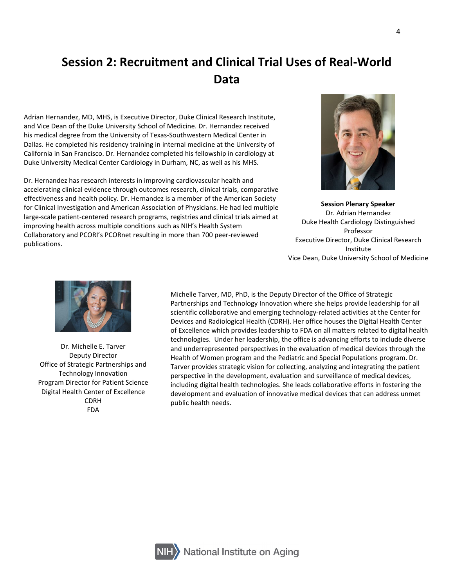## **Session 2: Recruitment and Clinical Trial Uses of Real-World Data**

Adrian Hernandez, MD, MHS, is Executive Director, Duke Clinical Research Institute, and Vice Dean of the Duke University School of Medicine. Dr. Hernandez received his medical degree from the University of Texas-Southwestern Medical Center in Dallas. He completed his residency training in internal medicine at the University of California in San Francisco. Dr. Hernandez completed his fellowship in cardiology at Duke University Medical Center Cardiology in Durham, NC, as well as his MHS.

Dr. Hernandez has research interests in improving cardiovascular health and accelerating clinical evidence through outcomes research, clinical trials, comparative effectiveness and health policy. Dr. Hernandez is a member of the American Society for Clinical Investigation and American Association of Physicians. He had led multiple large-scale patient-centered research programs, registries and clinical trials aimed at improving health across multiple conditions such as NIH's Health System Collaboratory and PCORI's PCORnet resulting in more than 700 peer-reviewed publications.



**Session Plenary Speaker** Dr. Adrian Hernandez Duke Health Cardiology Distinguished Professor Executive Director, Duke Clinical Research Institute Vice Dean, Duke University School of Medicine



Dr. Michelle E. Tarver Deputy Director Office of Strategic Partnerships and Technology Innovation Program Director for Patient Science Digital Health Center of Excellence CDRH FDA

Michelle Tarver, MD, PhD, is the Deputy Director of the Office of Strategic Partnerships and Technology Innovation where she helps provide leadership for all scientific collaborative and emerging technology-related activities at the Center for Devices and Radiological Health (CDRH). Her office houses the Digital Health Center of Excellence which provides leadership to FDA on all matters related to digital health technologies. Under her leadership, the office is advancing efforts to include diverse and underrepresented perspectives in the evaluation of medical devices through the Health of Women program and the Pediatric and Special Populations program. Dr. Tarver provides strategic vision for collecting, analyzing and integrating the patient perspective in the development, evaluation and surveillance of medical devices, including digital health technologies. She leads collaborative efforts in fostering the development and evaluation of innovative medical devices that can address unmet public health needs.

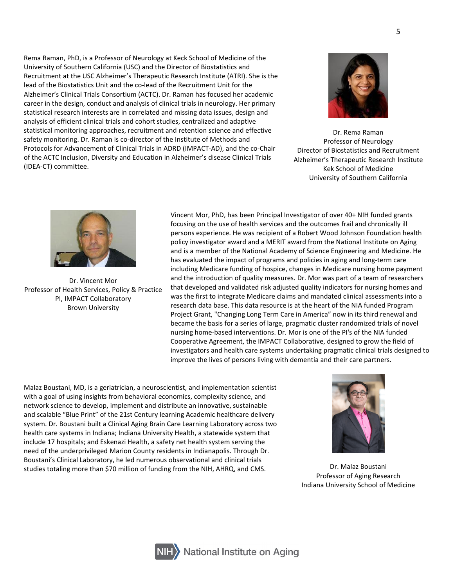Rema Raman, PhD, is a Professor of Neurology at Keck School of Medicine of the University of Southern California (USC) and the Director of Biostatistics and Recruitment at the USC Alzheimer's Therapeutic Research Institute (ATRI). She is the lead of the Biostatistics Unit and the co-lead of the Recruitment Unit for the Alzheimer's Clinical Trials Consortium (ACTC). Dr. Raman has focused her academic career in the design, conduct and analysis of clinical trials in neurology. Her primary statistical research interests are in correlated and missing data issues, design and analysis of efficient clinical trials and cohort studies, centralized and adaptive statistical monitoring approaches, recruitment and retention science and effective safety monitoring. Dr. Raman is co-director of the Institute of Methods and Protocols for Advancement of Clinical Trials in ADRD (IMPACT-AD), and the co-Chair of the ACTC Inclusion, Diversity and Education in Alzheimer's disease Clinical Trials (IDEA-CT) committee.



Dr. Rema Raman Professor of Neurology Director of Biostatistics and Recruitment Alzheimer's Therapeutic Research Institute Kek School of Medicine University of Southern California



Dr. Vincent Mor Professor of Health Services, Policy & Practice PI, IMPACT Collaboratory Brown University

Vincent Mor, PhD, has been Principal Investigator of over 40+ NIH funded grants focusing on the use of health services and the outcomes frail and chronically ill persons experience. He was recipient of a Robert Wood Johnson Foundation health policy investigator award and a MERIT award from the National Institute on Aging and is a member of the National Academy of Science Engineering and Medicine. He has evaluated the impact of programs and policies in aging and long-term care including Medicare funding of hospice, changes in Medicare nursing home payment and the introduction of quality measures. Dr. Mor was part of a team of researchers that developed and validated risk adjusted quality indicators for nursing homes and was the first to integrate Medicare claims and mandated clinical assessments into a research data base. This data resource is at the heart of the NIA funded Program Project Grant, "Changing Long Term Care in America" now in its third renewal and became the basis for a series of large, pragmatic cluster randomized trials of novel nursing home-based interventions. Dr. Mor is one of the PI's of the NIA funded Cooperative Agreement, the IMPACT Collaborative, designed to grow the field of investigators and health care systems undertaking pragmatic clinical trials designed to improve the lives of persons living with dementia and their care partners.

Malaz Boustani, MD, is a geriatrician, a neuroscientist, and implementation scientist with a goal of using insights from behavioral economics, complexity science, and network science to develop, implement and distribute an innovative, sustainable and scalable "Blue Print" of the 21st Century learning Academic healthcare delivery system. Dr. Boustani built a Clinical Aging Brain Care Learning Laboratory across two health care systems in Indiana; Indiana University Health, a statewide system that include 17 hospitals; and Eskenazi Health, a safety net health system serving the need of the underprivileged Marion County residents in Indianapolis. Through Dr. Boustani's Clinical Laboratory, he led numerous observational and clinical trials studies totaling more than \$70 million of funding from the NIH, AHRQ, and CMS. **Dr. Malaz Boustani** 



Professor of Aging Research Indiana University School of Medicine



**National Institute on Aging**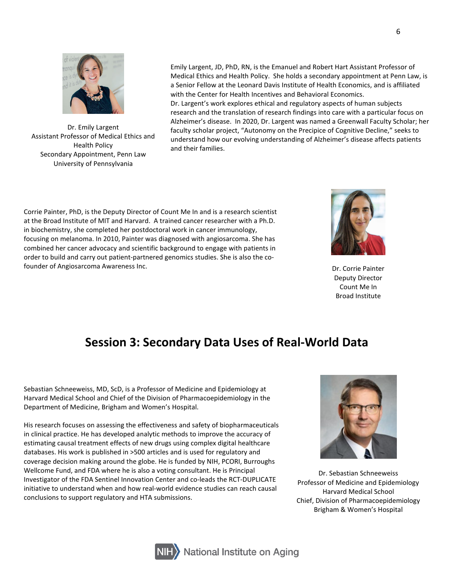

Dr. Emily Largent Assistant Professor of Medical Ethics and Health Policy Secondary Appointment, Penn Law University of Pennsylvania

Emily Largent, JD, PhD, RN, is the Emanuel and Robert Hart Assistant Professor of Medical Ethics and Health Policy. She holds a secondary appointment at Penn Law, is a Senior Fellow at the Leonard Davis Institute of Health Economics, and is affiliated with the Center for Health Incentives and Behavioral Economics.

Dr. Largent's work explores ethical and regulatory aspects of human subjects research and the translation of research findings into care with a particular focus on Alzheimer's disease. In 2020, Dr. Largent was named a Greenwall Faculty Scholar; her faculty scholar project, "Autonomy on the Precipice of Cognitive Decline," seeks to understand how our evolving understanding of Alzheimer's disease affects patients and their families.

Corrie Painter, PhD, is the Deputy Director of Count Me In and is a research scientist at the Broad Institute of MIT and Harvard. A trained cancer researcher with a Ph.D. in biochemistry, she completed her postdoctoral work in cancer immunology, focusing on melanoma. In 2010, Painter was diagnosed with angiosarcoma. She has combined her cancer advocacy and scientific background to engage with patients in order to build and carry out patient-partnered genomics studies. She is also the cofounder of Angiosarcoma Awareness Inc. **Dr. Corrie Painter** Corrie Painter Corrie Painter



Deputy Director Count Me In Broad Institute

### **Session 3: Secondary Data Uses of Real-World Data**

Sebastian Schneeweiss, MD, ScD, is a Professor of Medicine and Epidemiology at Harvard Medical School and Chief of the Division of Pharmacoepidemiology in the Department of Medicine, Brigham and Women's Hospital.

His research focuses on assessing the effectiveness and safety of biopharmaceuticals in clinical practice. He has developed analytic methods to improve the accuracy of estimating causal treatment effects of new drugs using complex digital healthcare databases. His work is published in >500 articles and is used for regulatory and coverage decision making around the globe. He is funded by NIH, PCORI, Burroughs Wellcome Fund, and FDA where he is also a voting consultant. He is Principal Investigator of the FDA Sentinel Innovation Center and co-leads the RCT-DUPLICATE initiative to understand when and how real-world evidence studies can reach causal conclusions to support regulatory and HTA submissions.



Dr. Sebastian Schneeweiss Professor of Medicine and Epidemiology Harvard Medical School Chief, Division of Pharmacoepidemiology Brigham & Women's Hospital

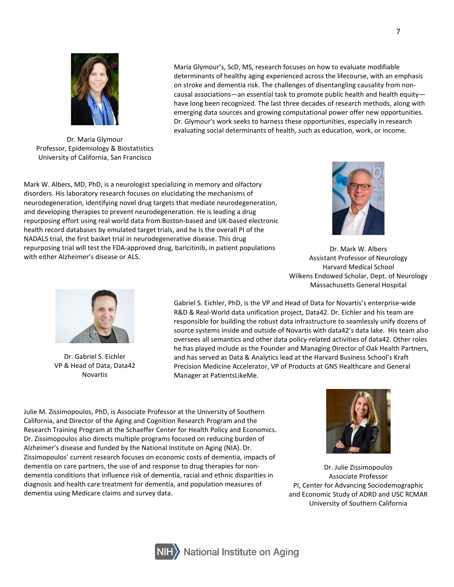

Dr. Maria Glymour Professor, Epidemiology & Biostatistics University of California, San Francisco

Maria Glymour's, ScD, MS, research focuses on how to evaluate modifiable determinants of healthy aging experienced across the lifecourse, with an emphasis on stroke and dementia risk. The challenges of disentangling causality from noncausal associations—an essential task to promote public health and health equity have long been recognized. The last three decades of research methods, along with emerging data sources and growing computational power offer new opportunities. Dr. Glymour's work seeks to harness these opportunities, especially in research evaluating social determinants of health, such as education, work, or income.

Mark W. Albers, MD, PhD, is a neurologist specializing in memory and olfactory disorders. His laboratory research focuses on elucidating the mechanisms of neurodegeneration, identifying novel drug targets that mediate neurodegeneration, and developing therapies to prevent neurodegeneration. He is leading a drug repurposing effort using real world data from Boston-based and UK-based electronic health record databases by emulated target trials, and he Is the overall PI of the NADALS trial, the first basket trial in neurodegenerative disease. This drug repurposing trial will test the FDA-approved drug, baricitinib, in patient populations with either Alzheimer's disease or ALS.



Dr. Mark W. Albers Assistant Professor of Neurology Harvard Medical School Wilkens Endowed Scholar, Dept. of Neurology Massachusetts General Hospital



Dr. Gabriel S. Eichler VP & Head of Data, Data42 Novartis

Gabriel S. Eichler, PhD, is the VP and Head of Data for Novartis's enterprise-wide R&D & Real-World data unification project, Data42. Dr. Eichler and his team are responsible for building the robust data infrastructure to seamlessly unify dozens of source systems inside and outside of Novartis with data42's data lake. His team also oversees all semantics and other data policy-related activities of data42. Other roles he has played include as the Founder and Managing Director of Oak Health Partners, and has served as Data & Analytics lead at the Harvard Business School's Kraft Precision Medicine Accelerator, VP of Products at GNS Healthcare and General Manager at PatientsLikeMe.

Julie M. Zissimopoulos, PhD, is Associate Professor at the University of Southern California, and Director of the Aging and Cognition Research Program and the Research Training Program at the Schaeffer Center for Health Policy and Economics. Dr. Zissimopoulos also directs multiple programs focused on reducing burden of Alzheimer's disease and funded by the National Institute on Aging (NIA). Dr. Zissimopoulos' current research focuses on economic costs of dementia, impacts of dementia on care partners, the use of and response to drug therapies for nondementia conditions that influence risk of dementia, racial and ethnic disparities in diagnosis and health care treatment for dementia, and population measures of dementia using Medicare claims and survey data.



Dr. Julie Zissimopoulos Associate Professor PI, Center for Advancing Sociodemographic and Economic Study of ADRD and USC RCMAR University of Southern California

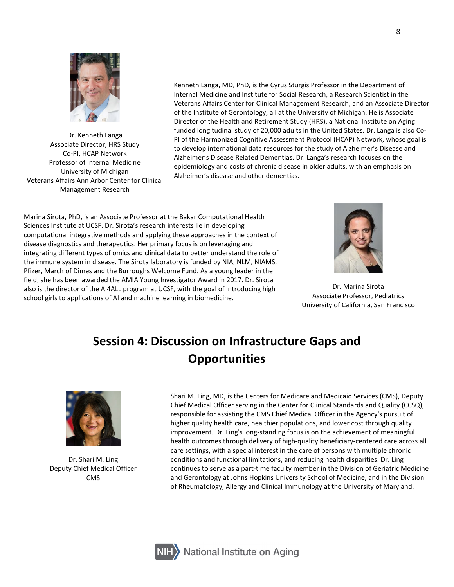

Dr. Kenneth Langa Associate Director, HRS Study Co-PI, HCAP Network Professor of Internal Medicine University of Michigan Veterans Affairs Ann Arbor Center for Clinical Management Research

Kenneth Langa, MD, PhD, is the Cyrus Sturgis Professor in the Department of Internal Medicine and Institute for Social Research, a Research Scientist in the Veterans Affairs Center for Clinical Management Research, and an Associate Director of the Institute of Gerontology, all at the University of Michigan. He is Associate Director of the Health and Retirement Study (HRS), a National Institute on Aging funded longitudinal study of 20,000 adults in the United States. Dr. Langa is also Co-PI of the Harmonized Cognitive Assessment Protocol (HCAP) Network, whose goal is to develop international data resources for the study of Alzheimer's Disease and Alzheimer's Disease Related Dementias. Dr. Langa's research focuses on the epidemiology and costs of chronic disease in older adults, with an emphasis on Alzheimer's disease and other dementias.

Marina Sirota, PhD, is an Associate Professor at the Bakar Computational Health Sciences Institute at UCSF. Dr. Sirota's research interests lie in developing computational integrative methods and applying these approaches in the context of disease diagnostics and therapeutics. Her primary focus is on leveraging and integrating different types of omics and clinical data to better understand the role of the immune system in disease. The Sirota laboratory is funded by NIA, NLM, NIAMS, Pfizer, March of Dimes and the Burroughs Welcome Fund. As a young leader in the field, she has been awarded the AMIA Young Investigator Award in 2017. Dr. Sirota also is the director of the AI4ALL program at UCSF, with the goal of introducing high school girls to applications of AI and machine learning in biomedicine.



Dr. Marina Sirota Associate Professor, Pediatrics University of California, San Francisco

## **Session 4: Discussion on Infrastructure Gaps and Opportunities**



Dr. Shari M. Ling Deputy Chief Medical Officer CMS

Shari M. Ling, MD, is the Centers for Medicare and Medicaid Services (CMS), Deputy Chief Medical Officer serving in the Center for Clinical Standards and Quality (CCSQ), responsible for assisting the CMS Chief Medical Officer in the Agency's pursuit of higher quality health care, healthier populations, and lower cost through quality improvement. Dr. Ling's long-standing focus is on the achievement of meaningful health outcomes through delivery of high-quality beneficiary-centered care across all care settings, with a special interest in the care of persons with multiple chronic conditions and functional limitations, and reducing health disparities. Dr. Ling continues to serve as a part-time faculty member in the Division of Geriatric Medicine and Gerontology at Johns Hopkins University School of Medicine, and in the Division of Rheumatology, Allergy and Clinical Immunology at the University of Maryland.

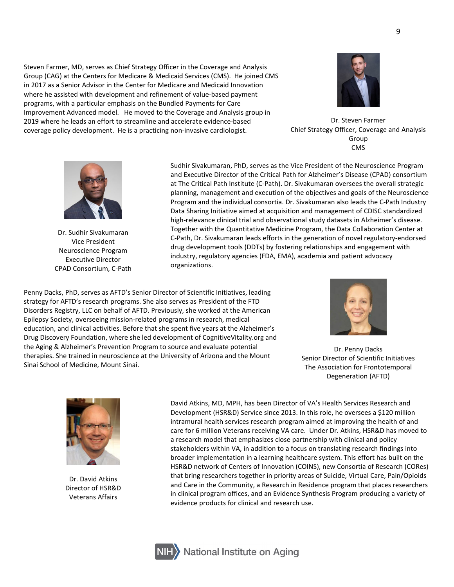Steven Farmer, MD, serves as Chief Strategy Officer in the Coverage and Analysis Group (CAG) at the Centers for Medicare & Medicaid Services (CMS). He joined CMS in 2017 as a Senior Advisor in the Center for Medicare and Medicaid Innovation where he assisted with development and refinement of value-based payment programs, with a particular emphasis on the Bundled Payments for Care Improvement Advanced model. He moved to the Coverage and Analysis group in 2019 where he leads an effort to streamline and accelerate evidence-based coverage policy development. He is a practicing non-invasive cardiologist.



Dr. Steven Farmer Chief Strategy Officer, Coverage and Analysis Group CMS



Dr. Sudhir Sivakumaran Vice President Neuroscience Program Executive Director CPAD Consortium, C-Path

Sudhir Sivakumaran, PhD, serves as the Vice President of the Neuroscience Program and Executive Director of the Critical Path for Alzheimer's Disease (CPAD) consortium at The Critical Path Institute (C-Path). Dr. Sivakumaran oversees the overall strategic planning, management and execution of the objectives and goals of the Neuroscience Program and the individual consortia. Dr. Sivakumaran also leads the C-Path Industry Data Sharing Initiative aimed at acquisition and management of CDISC standardized high-relevance clinical trial and observational study datasets in Alzheimer's disease. Together with the Quantitative Medicine Program, the Data Collaboration Center at C-Path, Dr. Sivakumaran leads efforts in the generation of novel regulatory-endorsed drug development tools (DDTs) by fostering relationships and engagement with industry, regulatory agencies (FDA, EMA), academia and patient advocacy organizations.

Penny Dacks, PhD, serves as AFTD's Senior Director of Scientific Initiatives, leading strategy for AFTD's research programs. She also serves as President of the FTD Disorders Registry, LLC on behalf of AFTD. Previously, she worked at the American Epilepsy Society, overseeing mission-related programs in research, medical education, and clinical activities. Before that she spent five years at the Alzheimer's Drug Discovery Foundation, where she led development of CognitiveVitality.org and the Aging & Alzheimer's Prevention Program to source and evaluate potential therapies. She trained in neuroscience at the University of Arizona and the Mount Sinai School of Medicine, Mount Sinai.



Dr. Penny Dacks Senior Director of Scientific Initiatives The Association for Frontotemporal Degeneration (AFTD)



Dr. David Atkins Director of HSR&D Veterans Affairs

David Atkins, MD, MPH, has been Director of VA's Health Services Research and Development (HSR&D) Service since 2013. In this role, he oversees a \$120 million intramural health services research program aimed at improving the health of and care for 6 million Veterans receiving VA care. Under Dr. Atkins, HSR&D has moved to a research model that emphasizes close partnership with clinical and policy stakeholders within VA, in addition to a focus on translating research findings into broader implementation in a learning healthcare system. This effort has built on the HSR&D network of Centers of Innovation (COINS), new Consortia of Research (CORes) that bring researchers together in priority areas of Suicide, Virtual Care, Pain/Opioids and Care in the Community, a Research in Residence program that places researchers in clinical program offices, and an Evidence Synthesis Program producing a variety of evidence products for clinical and research use.